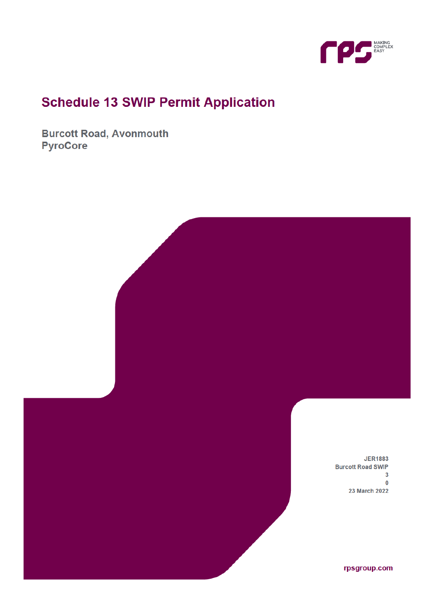

# **Schedule 13 SWIP Permit Application**

**Burcott Road, Avonmouth PyroCore** 

> **JER1883 Burcott Road SWIP**  $\overline{\mathbf{3}}$  $\mathbf 0$ 23 March 2022

> > rpsgroup.com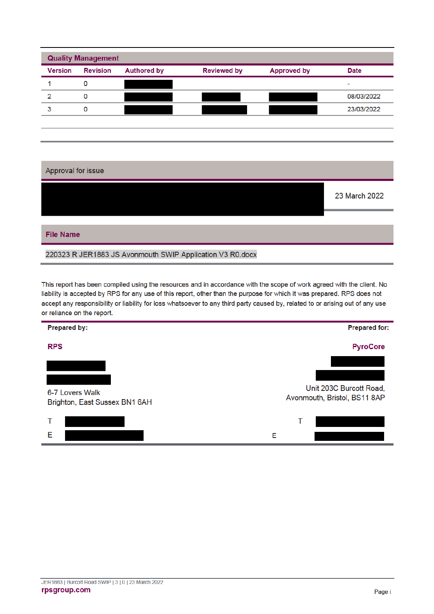| <b>Version</b> | <b>Revision</b> | <b>Authored by</b> | <b>Reviewed by</b> | <b>Approved by</b> | <b>Date</b>    |
|----------------|-----------------|--------------------|--------------------|--------------------|----------------|
|                | 0               |                    |                    |                    | $\blacksquare$ |
| 2              | ٥               |                    |                    |                    | 08/03/2022     |
| 3              | ٥               |                    |                    |                    | 23/03/2022     |

| Approval for issue                                        |               |
|-----------------------------------------------------------|---------------|
|                                                           | 23 March 2022 |
|                                                           |               |
| <b>File Name</b>                                          |               |
| 220323 R JER1883 JS Avonmouth SWIP Application V3 R0.docx |               |

This report has been compiled using the resources and in accordance with the scope of work agreed with the client. No liability is accepted by RPS for any use of this report, other than the purpose for which it was prepared. RPS does not accept any responsibility or liability for loss whatsoever to any third party caused by, related to or arising out of any use or reliance on the report.

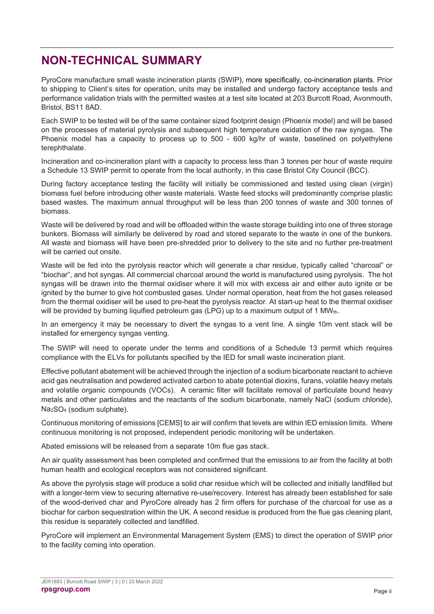## **NON-TECHNICAL SUMMARY**

PyroCore manufacture small waste incineration plants (SWIP), more specifically, co-incineration plants. Prior to shipping to Client's sites for operation, units may be installed and undergo factory acceptance tests and performance validation trials with the permitted wastes at a test site located at 203 Burcott Road, Avonmouth, Bristol, BS11 8AD.

Each SWIP to be tested will be of the same container sized footprint design (Phoenix model) and will be based on the processes of material pyrolysis and subsequent high temperature oxidation of the raw syngas. The Phoenix model has a capacity to process up to 500 - 600 kg/hr of waste, baselined on polyethylene terephthalate.

Incineration and co-incineration plant with a capacity to process less than 3 tonnes per hour of waste require a Schedule 13 SWIP permit to operate from the local authority, in this case Bristol City Council (BCC).

During factory acceptance testing the facility will initially be commissioned and tested using clean (virgin) biomass fuel before introducing other waste materials. Waste feed stocks will predominantly comprise plastic based wastes. The maximum annual throughput will be less than 200 tonnes of waste and 300 tonnes of biomass.

Waste will be delivered by road and will be offloaded within the waste storage building into one of three storage bunkers. Biomass will similarly be delivered by road and stored separate to the waste in one of the bunkers. All waste and biomass will have been pre-shredded prior to delivery to the site and no further pre-treatment will be carried out onsite.

Waste will be fed into the pyrolysis reactor which will generate a char residue, typically called "charcoal" or "biochar", and hot syngas. All commercial charcoal around the world is manufactured using pyrolysis. The hot syngas will be drawn into the thermal oxidiser where it will mix with excess air and either auto ignite or be ignited by the burner to give hot combusted gases. Under normal operation, heat from the hot gases released from the thermal oxidiser will be used to pre-heat the pyrolysis reactor. At start-up heat to the thermal oxidiser will be provided by burning liquified petroleum gas (LPG) up to a maximum output of 1 MWth.

In an emergency it may be necessary to divert the syngas to a vent line. A single 10m vent stack will be installed for emergency syngas venting.

The SWIP will need to operate under the terms and conditions of a Schedule 13 permit which requires compliance with the ELVs for pollutants specified by the IED for small waste incineration plant.

Effective pollutant abatement will be achieved through the injection of a sodium bicarbonate reactant to achieve acid gas neutralisation and powdered activated carbon to abate potential dioxins, furans, volatile heavy metals and volatile organic compounds (VOCs). A ceramic filter will facilitate removal of particulate bound heavy metals and other particulates and the reactants of the sodium bicarbonate, namely NaCl (sodium chloride), Na2SO4 (sodium sulphate).

Continuous monitoring of emissions [CEMS] to air will confirm that levels are within IED emission limits. Where continuous monitoring is not proposed, independent periodic monitoring will be undertaken.

Abated emissions will be released from a separate 10m flue gas stack.

An air quality assessment has been completed and confirmed that the emissions to air from the facility at both human health and ecological receptors was not considered significant.

As above the pyrolysis stage will produce a solid char residue which will be collected and initially landfilled but with a longer-term view to securing alternative re-use/recovery. Interest has already been established for sale of the wood-derived char and PyroCore already has 2 firm offers for purchase of the charcoal for use as a biochar for carbon sequestration within the UK. A second residue is produced from the flue gas cleaning plant, this residue is separately collected and landfilled.

PyroCore will implement an Environmental Management System (EMS) to direct the operation of SWIP prior to the facility coming into operation.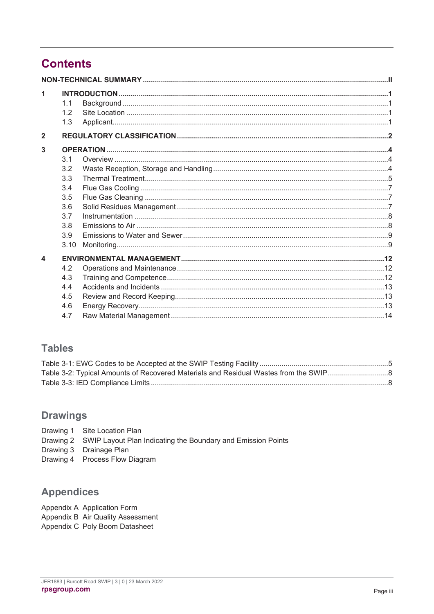# **Contents**

| 1<br>$\overline{2}$ | 1.1<br>1.2<br>1.3 |  |
|---------------------|-------------------|--|
|                     |                   |  |
| 3                   |                   |  |
|                     | 3.1               |  |
|                     | 3.2               |  |
|                     | 3.3               |  |
|                     | 3.4               |  |
|                     | 3.5               |  |
|                     | 3.6               |  |
|                     | 3.7               |  |
|                     | 3.8               |  |
|                     | 3.9               |  |
|                     | 3.10              |  |
| $\blacktriangle$    |                   |  |
|                     | 4.2               |  |
|                     | 4.3               |  |
|                     | 44                |  |
|                     | 4.5               |  |
|                     | 4.6               |  |
|                     | 4.7               |  |

### **Tables**

### **Drawings**

- Drawing 1 Site Location Plan
- Drawing 2 SWIP Layout Plan Indicating the Boundary and Emission Points
- Drawing 3 Drainage Plan
- Drawing 4 Process Flow Diagram

### **Appendices**

Appendix A Application Form Appendix B Air Quality Assessment Appendix C Poly Boom Datasheet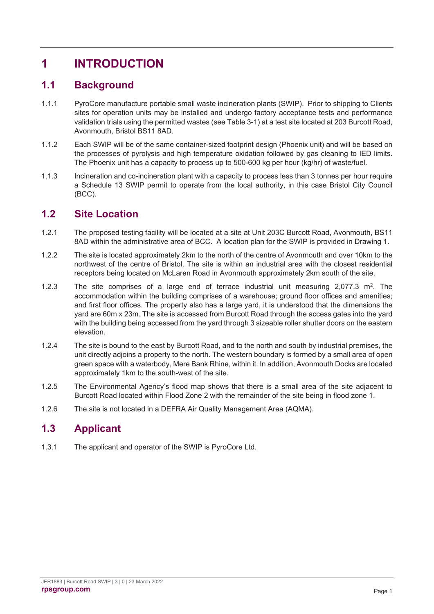# **1 INTRODUCTION**

### **1.1 Background**

- 1.1.1 PyroCore manufacture portable small waste incineration plants (SWIP). Prior to shipping to Clients sites for operation units may be installed and undergo factory acceptance tests and performance validation trials using the permitted wastes (see Table 3-1) at a test site located at 203 Burcott Road, Avonmouth, Bristol BS11 8AD.
- 1.1.2 Each SWIP will be of the same container-sized footprint design (Phoenix unit) and will be based on the processes of pyrolysis and high temperature oxidation followed by gas cleaning to IED limits. The Phoenix unit has a capacity to process up to 500-600 kg per hour (kg/hr) of waste/fuel.
- 1.1.3 Incineration and co-incineration plant with a capacity to process less than 3 tonnes per hour require a Schedule 13 SWIP permit to operate from the local authority, in this case Bristol City Council (BCC).

### **1.2 Site Location**

- 1.2.1 The proposed testing facility will be located at a site at Unit 203C Burcott Road, Avonmouth, BS11 8AD within the administrative area of BCC. A location plan for the SWIP is provided in Drawing 1.
- 1.2.2 The site is located approximately 2km to the north of the centre of Avonmouth and over 10km to the northwest of the centre of Bristol. The site is within an industrial area with the closest residential receptors being located on McLaren Road in Avonmouth approximately 2km south of the site.
- 1.2.3 The site comprises of a large end of terrace industrial unit measuring  $2,077.3$  m<sup>2</sup>. The accommodation within the building comprises of a warehouse; ground floor offices and amenities; and first floor offices. The property also has a large yard, it is understood that the dimensions the yard are 60m x 23m. The site is accessed from Burcott Road through the access gates into the yard with the building being accessed from the yard through 3 sizeable roller shutter doors on the eastern elevation.
- 1.2.4 The site is bound to the east by Burcott Road, and to the north and south by industrial premises, the unit directly adjoins a property to the north. The western boundary is formed by a small area of open green space with a waterbody, Mere Bank Rhine, within it. In addition, Avonmouth Docks are located approximately 1km to the south-west of the site.
- 1.2.5 The Environmental Agency's flood map shows that there is a small area of the site adjacent to Burcott Road located within Flood Zone 2 with the remainder of the site being in flood zone 1.
- 1.2.6 The site is not located in a DEFRA Air Quality Management Area (AQMA).

### **1.3 Applicant**

1.3.1 The applicant and operator of the SWIP is PyroCore Ltd.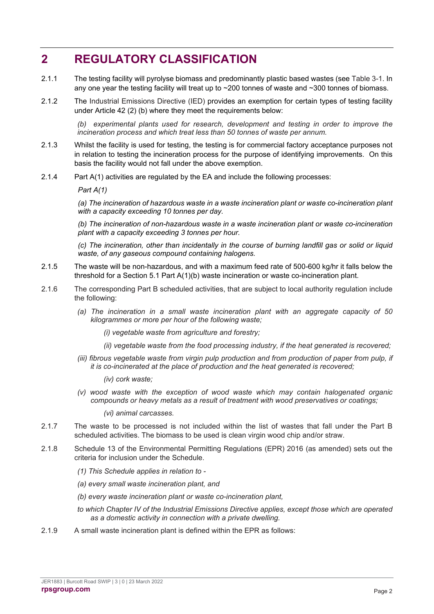## **2 REGULATORY CLASSIFICATION**

- 2.1.1 The testing facility will pyrolyse biomass and predominantly plastic based wastes (see Table 3-1. In any one year the testing facility will treat up to ~200 tonnes of waste and ~300 tonnes of biomass.
- 2.1.2 The Industrial Emissions Directive (IED) provides an exemption for certain types of testing facility under Article 42 (2) (b) where they meet the requirements below:

*(b) experimental plants used for research, development and testing in order to improve the incineration process and which treat less than 50 tonnes of waste per annum.*

- 2.1.3 Whilst the facility is used for testing, the testing is for commercial factory acceptance purposes not in relation to testing the incineration process for the purpose of identifying improvements. On this basis the facility would not fall under the above exemption.
- 2.1.4 Part A(1) activities are regulated by the EA and include the following processes:

*Part A(1)*

*(a) The incineration of hazardous waste in a waste incineration plant or waste co-incineration plant with a capacity exceeding 10 tonnes per day.*

*(b) The incineration of non-hazardous waste in a waste incineration plant or waste co-incineration plant with a capacity exceeding 3 tonnes per hour.*

*(c) The incineration, other than incidentally in the course of burning landfill gas or solid or liquid waste, of any gaseous compound containing halogens.*

- 2.1.5 The waste will be non-hazardous, and with a maximum feed rate of 500-600 kg/hr it falls below the threshold for a Section 5.1 Part A(1)(b) waste incineration or waste co-incineration plant.
- 2.1.6 The corresponding Part B scheduled activities, that are subject to local authority regulation include the following:
	- *(a) The incineration in a small waste incineration plant with an aggregate capacity of 50 kilogrammes or more per hour of the following waste;*
		- *(i) vegetable waste from agriculture and forestry;*
		- *(ii) vegetable waste from the food processing industry, if the heat generated is recovered;*
	- *(iii) fibrous vegetable waste from virgin pulp production and from production of paper from pulp, if it is co-incinerated at the place of production and the heat generated is recovered;*

*(iv) cork waste;*

*(v) wood waste with the exception of wood waste which may contain halogenated organic compounds or heavy metals as a result of treatment with wood preservatives or coatings;*

*(vi) animal carcasses.*

- 2.1.7 The waste to be processed is not included within the list of wastes that fall under the Part B scheduled activities. The biomass to be used is clean virgin wood chip and/or straw.
- 2.1.8 Schedule 13 of the Environmental Permitting Regulations (EPR) 2016 (as amended) sets out the criteria for inclusion under the Schedule.
	- *(1) This Schedule applies in relation to -*
	- *(a) every small waste incineration plant, and*
	- *(b) every waste incineration plant or waste co-incineration plant,*
	- *to which Chapter IV of the Industrial Emissions Directive applies, except those which are operated as a domestic activity in connection with a private dwelling.*
- 2.1.9 A small waste incineration plant is defined within the EPR as follows: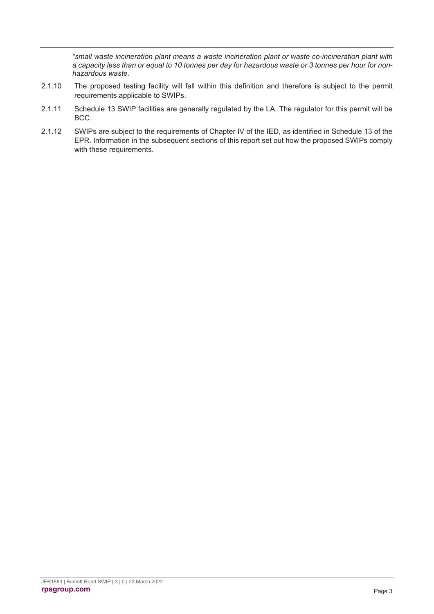*"small waste incineration plant means a waste incineration plant or waste co-incineration plant with a capacity less than or equal to 10 tonnes per day for hazardous waste or 3 tonnes per hour for nonhazardous waste.*

- 2.1.10 The proposed testing facility will fall within this definition and therefore is subject to the permit requirements applicable to SWIPs.
- 2.1.11 Schedule 13 SWIP facilities are generally regulated by the LA. The regulator for this permit will be BCC.
- 2.1.12 SWIPs are subject to the requirements of Chapter IV of the IED, as identified in Schedule 13 of the EPR. Information in the subsequent sections of this report set out how the proposed SWIPs comply with these requirements.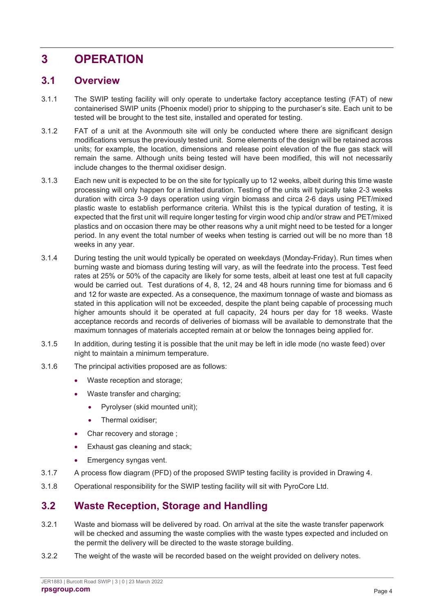## **3 OPERATION**

### **3.1 Overview**

- 3.1.1 The SWIP testing facility will only operate to undertake factory acceptance testing (FAT) of new containerised SWIP units (Phoenix model) prior to shipping to the purchaser's site. Each unit to be tested will be brought to the test site, installed and operated for testing.
- 3.1.2 FAT of a unit at the Avonmouth site will only be conducted where there are significant design modifications versus the previously tested unit. Some elements of the design will be retained across units; for example, the location, dimensions and release point elevation of the flue gas stack will remain the same. Although units being tested will have been modified, this will not necessarily include changes to the thermal oxidiser design.
- 3.1.3 Each new unit is expected to be on the site for typically up to 12 weeks, albeit during this time waste processing will only happen for a limited duration. Testing of the units will typically take 2-3 weeks duration with circa 3-9 days operation using virgin biomass and circa 2-6 days using PET/mixed plastic waste to establish performance criteria. Whilst this is the typical duration of testing, it is expected that the first unit will require longer testing for virgin wood chip and/or straw and PET/mixed plastics and on occasion there may be other reasons why a unit might need to be tested for a longer period. In any event the total number of weeks when testing is carried out will be no more than 18 weeks in any year.
- 3.1.4 During testing the unit would typically be operated on weekdays (Monday-Friday). Run times when burning waste and biomass during testing will vary, as will the feedrate into the process. Test feed rates at 25% or 50% of the capacity are likely for some tests, albeit at least one test at full capacity would be carried out. Test durations of 4, 8, 12, 24 and 48 hours running time for biomass and 6 and 12 for waste are expected. As a consequence, the maximum tonnage of waste and biomass as stated in this application will not be exceeded, despite the plant being capable of processing much higher amounts should it be operated at full capacity, 24 hours per day for 18 weeks. Waste acceptance records and records of deliveries of biomass will be available to demonstrate that the maximum tonnages of materials accepted remain at or below the tonnages being applied for.
- 3.1.5 In addition, during testing it is possible that the unit may be left in idle mode (no waste feed) over night to maintain a minimum temperature.
- 3.1.6 The principal activities proposed are as follows:
	- Waste reception and storage;
	- Waste transfer and charging;
		- Pyrolyser (skid mounted unit);
		- Thermal oxidiser:
	- Char recovery and storage;
	- Exhaust gas cleaning and stack;
	- Emergency syngas vent.
- 3.1.7 A process flow diagram (PFD) of the proposed SWIP testing facility is provided in Drawing 4.
- 3.1.8 Operational responsibility for the SWIP testing facility will sit with PyroCore Ltd.

### **3.2 Waste Reception, Storage and Handling**

- 3.2.1 Waste and biomass will be delivered by road. On arrival at the site the waste transfer paperwork will be checked and assuming the waste complies with the waste types expected and included on the permit the delivery will be directed to the waste storage building.
- 3.2.2 The weight of the waste will be recorded based on the weight provided on delivery notes.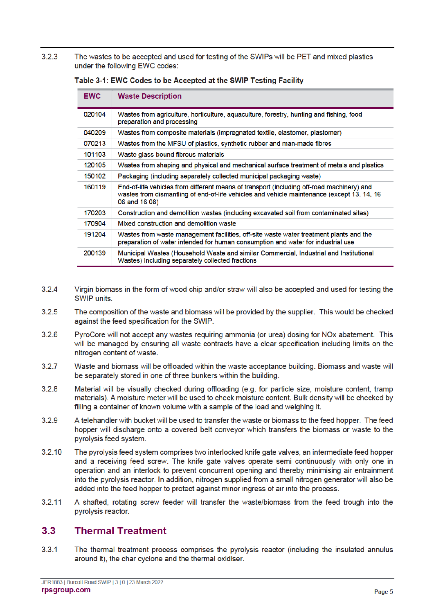$3.2.3$ The wastes to be accepted and used for testing of the SWIPs will be PET and mixed plastics under the following EWC codes:

| <b>EWC</b> | <b>Waste Description</b>                                                                                                                                                                                 |
|------------|----------------------------------------------------------------------------------------------------------------------------------------------------------------------------------------------------------|
| 020104     | Wastes from agriculture, horticulture, aquaculture, forestry, hunting and fishing, food<br>preparation and processing                                                                                    |
| 040209     | Wastes from composite materials (impregnated textile, elastomer, plastomer)                                                                                                                              |
| 070213     | Wastes from the MFSU of plastics, synthetic rubber and man-made fibres                                                                                                                                   |
| 101103     | Waste glass-bound fibrous materials                                                                                                                                                                      |
| 120105     | Wastes from shaping and physical and mechanical surface treatment of metals and plastics                                                                                                                 |
| 150102     | Packaging (including separately collected municipal packaging waste)                                                                                                                                     |
| 160119     | End-of-life vehicles from different means of transport (including off-road machinery) and<br>wastes from dismantling of end-of-life vehicles and vehicle maintenance (except 13, 14, 16<br>06 and 16 08) |
| 170203     | Construction and demolition wastes (including excavated soil from contaminated sites)                                                                                                                    |
| 170904     | Mixed construction and demolition waste                                                                                                                                                                  |
| 191204     | Wastes from waste management facilities, off-site waste water treatment plants and the<br>preparation of water intended for human consumption and water for industrial use                               |
| 200139     | Municipal Wastes (Household Waste and similar Commercial, Industrial and Institutional<br>Wastes) Including separately collected fractions                                                               |

#### Table 3-1: EWC Codes to be Accepted at the SWIP Testing Facility

- $3.2.4$ Virgin biomass in the form of wood chip and/or straw will also be accepted and used for testing the SWIP units.
- $3.2.5$ The composition of the waste and biomass will be provided by the supplier. This would be checked against the feed specification for the SWIP.
- $326$ PyroCore will not accept any wastes requiring ammonia (or urea) dosing for NO<sub>x</sub> abatement. This will be managed by ensuring all waste contracts have a clear specification including limits on the nitrogen content of waste.
- $3.2.7$ Waste and biomass will be offloaded within the waste acceptance building. Biomass and waste will be separately stored in one of three bunkers within the building.
- $328$ Material will be visually checked during offloading (e.g. for particle size, moisture content, tramp materials). A moisture meter will be used to check moisture content. Bulk density will be checked by filling a container of known volume with a sample of the load and weighing it.
- $3.2.9$ A telehandler with bucket will be used to transfer the waste or biomass to the feed hopper. The feed hopper will discharge onto a covered belt convevor which transfers the biomass or waste to the pyrolysis feed system.
- $3.2.10$ The pyrolysis feed system comprises two interlocked knife gate valves, an intermediate feed hopper and a receiving feed screw. The knife gate valves operate semi continuously with only one in operation and an interlock to prevent concurrent opening and thereby minimising air entrainment into the pyrolysis reactor. In addition, nitrogen supplied from a small nitrogen generator will also be added into the feed hopper to protect against minor ingress of air into the process.
- $3.2.11$ A shafted, rotating screw feeder will transfer the waste/biomass from the feed trough into the pyrolysis reactor.

#### $3.3$ **Thermal Treatment**

 $331$ The thermal treatment process comprises the pyrolysis reactor (including the insulated annulus around it), the char cyclone and the thermal oxidiser.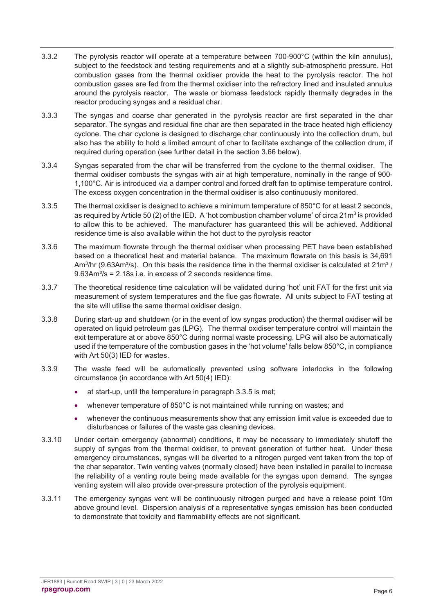- 3.3.2 The pyrolysis reactor will operate at a temperature between 700-900°C (within the kiln annulus), subject to the feedstock and testing requirements and at a slightly sub-atmospheric pressure. Hot combustion gases from the thermal oxidiser provide the heat to the pyrolysis reactor. The hot combustion gases are fed from the thermal oxidiser into the refractory lined and insulated annulus around the pyrolysis reactor. The waste or biomass feedstock rapidly thermally degrades in the reactor producing syngas and a residual char.
- 3.3.3 The syngas and coarse char generated in the pyrolysis reactor are first separated in the char separator. The syngas and residual fine char are then separated in the trace heated high efficiency cyclone. The char cyclone is designed to discharge char continuously into the collection drum, but also has the ability to hold a limited amount of char to facilitate exchange of the collection drum, if required during operation (see further detail in the section 3.66 below).
- 3.3.4 Syngas separated from the char will be transferred from the cyclone to the thermal oxidiser. The thermal oxidiser combusts the syngas with air at high temperature, nominally in the range of 900- 1,100°C. Air is introduced via a damper control and forced draft fan to optimise temperature control. The excess oxygen concentration in the thermal oxidiser is also continuously monitored.
- 3.3.5 The thermal oxidiser is designed to achieve a minimum temperature of 850°C for at least 2 seconds, as required by Article 50 (2) of the IED. A 'hot combustion chamber volume' of circa  $21<sup>m</sup>$  is provided to allow this to be achieved. The manufacturer has guaranteed this will be achieved. Additional residence time is also available within the hot duct to the pyrolysis reactor
- 3.3.6 The maximum flowrate through the thermal oxidiser when processing PET have been established based on a theoretical heat and material balance. The maximum flowrate on this basis is 34,691 Am<sup>3</sup>/hr (9.63Am<sup>3</sup>/s). On this basis the residence time in the thermal oxidiser is calculated at 21m<sup>3</sup>/  $9.63Am<sup>3</sup>/s = 2.18s$  i.e. in excess of 2 seconds residence time.
- 3.3.7 The theoretical residence time calculation will be validated during 'hot' unit FAT for the first unit via measurement of system temperatures and the flue gas flowrate. All units subject to FAT testing at the site will utilise the same thermal oxidiser design.
- 3.3.8 During start-up and shutdown (or in the event of low syngas production) the thermal oxidiser will be operated on liquid petroleum gas (LPG). The thermal oxidiser temperature control will maintain the exit temperature at or above 850°C during normal waste processing, LPG will also be automatically used if the temperature of the combustion gases in the 'hot volume' falls below 850°C, in compliance with Art 50(3) IED for wastes.
- 3.3.9 The waste feed will be automatically prevented using software interlocks in the following circumstance (in accordance with Art 50(4) IED):
	- at start-up, until the temperature in paragraph 3.3.5 is met;
	- whenever temperature of 850°C is not maintained while running on wastes; and
	- whenever the continuous measurements show that any emission limit value is exceeded due to disturbances or failures of the waste gas cleaning devices.
- 3.3.10 Under certain emergency (abnormal) conditions, it may be necessary to immediately shutoff the supply of syngas from the thermal oxidiser, to prevent generation of further heat. Under these emergency circumstances, syngas will be diverted to a nitrogen purged vent taken from the top of the char separator. Twin venting valves (normally closed) have been installed in parallel to increase the reliability of a venting route being made available for the syngas upon demand. The syngas venting system will also provide over-pressure protection of the pyrolysis equipment.
- 3.3.11 The emergency syngas vent will be continuously nitrogen purged and have a release point 10m above ground level. Dispersion analysis of a representative syngas emission has been conducted to demonstrate that toxicity and flammability effects are not significant.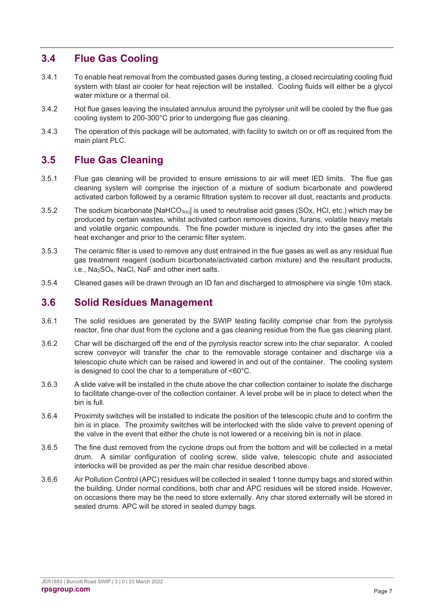### **3.4 Flue Gas Cooling**

- 3.4.1 To enable heat removal from the combusted gases during testing, a closed recirculating cooling fluid system with blast air cooler for heat rejection will be installed. Cooling fluids will either be a glycol water mixture or a thermal oil.
- 3.4.2 Hot flue gases leaving the insulated annulus around the pyrolyser unit will be cooled by the flue gas cooling system to 200-300°C prior to undergoing flue gas cleaning.
- 3.4.3 The operation of this package will be automated, with facility to switch on or off as required from the main plant PLC.

### **3.5 Flue Gas Cleaning**

- 3.5.1 Flue gas cleaning will be provided to ensure emissions to air will meet IED limits. The flue gas cleaning system will comprise the injection of a mixture of sodium bicarbonate and powdered activated carbon followed by a ceramic filtration system to recover all dust, reactants and products.
- 3.5.2 The sodium bicarbonate  $[NaHCO<sub>3(s)]</sub>$  is used to neutralise acid gases (SOx, HCl, etc.) which may be produced by certain wastes, whilst activated carbon removes dioxins, furans, volatile heavy metals and volatile organic compounds. The fine powder mixture is injected dry into the gases after the heat exchanger and prior to the ceramic filter system.
- 3.5.3 The ceramic filter is used to remove any dust entrained in the flue gases as well as any residual flue gas treatment reagent (sodium bicarbonate/activated carbon mixture) and the resultant products, i.e., Na2SO4, NaCl, NaF and other inert salts.
- 3.5.4 Cleaned gases will be drawn through an ID fan and discharged to atmosphere via single 10m stack.

### **3.6 Solid Residues Management**

- 3.6.1 The solid residues are generated by the SWIP testing facility comprise char from the pyrolysis reactor, fine char dust from the cyclone and a gas cleaning residue from the flue gas cleaning plant.
- 3.6.2 Char will be discharged off the end of the pyrolysis reactor screw into the char separator. A cooled screw conveyor will transfer the char to the removable storage container and discharge via a telescopic chute which can be raised and lowered in and out of the container. The cooling system is designed to cool the char to a temperature of <60°C.
- 3.6.3 A slide valve will be installed in the chute above the char collection container to isolate the discharge to facilitate change-over of the collection container. A level probe will be in place to detect when the bin is full.
- 3.6.4 Proximity switches will be installed to indicate the position of the telescopic chute and to confirm the bin is in place. The proximity switches will be interlocked with the slide valve to prevent opening of the valve in the event that either the chute is not lowered or a receiving bin is not in place.
- 3.6.5 The fine dust removed from the cyclone drops out from the bottom and will be collected in a metal drum. A similar configuration of cooling screw, slide valve, telescopic chute and associated interlocks will be provided as per the main char residue described above.
- 3.6.6 Air Pollution Control (APC) residues will be collected in sealed 1 tonne dumpy bags and stored within the building. Under normal conditions, both char and APC residues will be stored inside. However, on occasions there may be the need to store externally. Any char stored externally will be stored in sealed drums. APC will be stored in sealed dumpy bags.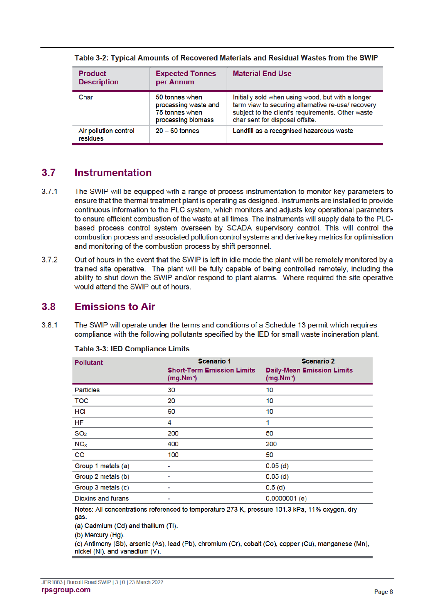| <b>Product</b><br><b>Description</b> | <b>Expected Tonnes</b><br>per Annum                                            | <b>Material End Use</b>                                                                                                                                                                         |
|--------------------------------------|--------------------------------------------------------------------------------|-------------------------------------------------------------------------------------------------------------------------------------------------------------------------------------------------|
| Char                                 | 50 tonnes when<br>processing waste and<br>75 tonnes when<br>processing biomass | Initially sold when using wood, but with a longer<br>term view to securing alternative re-use/ recovery<br>subject to the client's requirements. Other waste<br>char sent for disposal offsite. |
| Air pollution control<br>residues    | $20 - 60$ tonnes                                                               | Landfill as a recognised hazardous waste                                                                                                                                                        |

Table 3-2: Typical Amounts of Recovered Materials and Residual Wastes from the SWIP

#### $3.7$ Instrumentation

- $371$ The SWIP will be equipped with a range of process instrumentation to monitor key parameters to ensure that the thermal treatment plant is operating as designed. Instruments are installed to provide continuous information to the PLC system, which monitors and adjusts key operational parameters to ensure efficient combustion of the waste at all times. The instruments will supply data to the PLCbased process control system overseen by SCADA supervisory control. This will control the combustion process and associated pollution control systems and derive key metrics for optimisation and monitoring of the combustion process by shift personnel.
- $3.7.2$ Out of hours in the event that the SWIP is left in idle mode the plant will be remotely monitored by a trained site operative. The plant will be fully capable of being controlled remotely, including the ability to shut down the SWIP and/or respond to plant alarms. Where required the site operative would attend the SWIP out of hours.

#### **Emissions to Air**  $3.8$

381 The SWIP will operate under the terms and conditions of a Schedule 13 permit which requires compliance with the following pollutants specified by the IED for small waste incineration plant.

| <b>Pollutant</b>          | <b>Scenario 1</b><br><b>Short-Term Emission Limits</b><br>(mg. Nm <sup>3</sup> ) | <b>Scenario 2</b><br><b>Daily-Mean Emission Limits</b><br>(mg.Mm <sup>3</sup> ) |
|---------------------------|----------------------------------------------------------------------------------|---------------------------------------------------------------------------------|
| <b>Particles</b>          | 30                                                                               | 10                                                                              |
| <b>TOC</b>                | 20                                                                               | 10                                                                              |
| <b>HCI</b>                | 60                                                                               | 10                                                                              |
| <b>HF</b>                 | 4                                                                                | 1                                                                               |
| SO <sub>2</sub>           | 200                                                                              | 50                                                                              |
| NO <sub>x</sub>           | 400                                                                              | 200                                                                             |
| $\overline{c}$            | 100                                                                              | 50                                                                              |
| Group 1 metals (a)        |                                                                                  | 0.05(d)                                                                         |
| Group 2 metals (b)        |                                                                                  | 0.05(d)                                                                         |
| Group 3 metals (c)        |                                                                                  | 0.5(d)                                                                          |
| <b>Dioxins and furans</b> |                                                                                  | $0.0000001$ (e)                                                                 |

|  |  | <b>Table 3-3: IED Compliance Limits</b> |
|--|--|-----------------------------------------|
|  |  |                                         |

Notes: All concentrations referenced to temperature 273 K, pressure 101.3 kPa, 11% oxygen, dry gas.

(a) Cadmium (Cd) and thallium (TI).

(b) Mercury (Ha).

(c) Antimony (Sb), arsenic (As), lead (Pb), chromium (Cr), cobalt (Co), copper (Cu), manganese (Mn), nickel (Ni), and vanadium (V).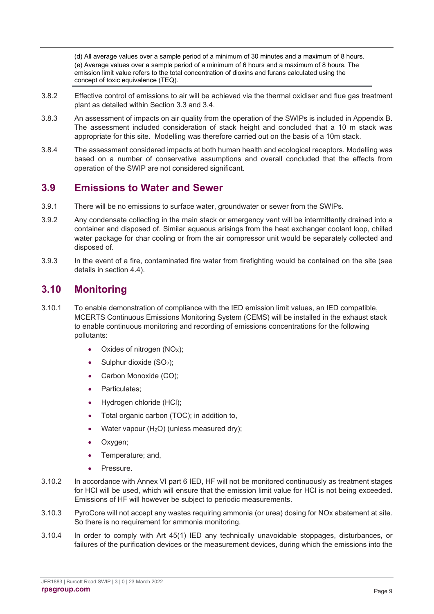(d) All average values over a sample period of a minimum of 30 minutes and a maximum of 8 hours. (e) Average values over a sample period of a minimum of 6 hours and a maximum of 8 hours. The emission limit value refers to the total concentration of dioxins and furans calculated using the concept of toxic equivalence (TEQ).

- 3.8.2 Effective control of emissions to air will be achieved via the thermal oxidiser and flue gas treatment plant as detailed within Section 3.3 and 3.4.
- 3.8.3 An assessment of impacts on air quality from the operation of the SWIPs is included in Appendix B. The assessment included consideration of stack height and concluded that a 10 m stack was appropriate for this site. Modelling was therefore carried out on the basis of a 10m stack.
- 3.8.4 The assessment considered impacts at both human health and ecological receptors. Modelling was based on a number of conservative assumptions and overall concluded that the effects from operation of the SWIP are not considered significant.

### **3.9 Emissions to Water and Sewer**

- 3.9.1 There will be no emissions to surface water, groundwater or sewer from the SWIPs.
- 3.9.2 Any condensate collecting in the main stack or emergency vent will be intermittently drained into a container and disposed of. Similar aqueous arisings from the heat exchanger coolant loop, chilled water package for char cooling or from the air compressor unit would be separately collected and disposed of.
- 3.9.3 In the event of a fire, contaminated fire water from firefighting would be contained on the site (see details in section 4.4).

### **3.10 Monitoring**

- 3.10.1 To enable demonstration of compliance with the IED emission limit values, an IED compatible, MCERTS Continuous Emissions Monitoring System (CEMS) will be installed in the exhaust stack to enable continuous monitoring and recording of emissions concentrations for the following pollutants:
	- Oxides of nitrogen  $(NOx)$ ;
	- Sulphur dioxide (SO<sub>2</sub>);
	- Carbon Monoxide (CO);
	- Particulates;
	- Hydrogen chloride (HCl);
	- Total organic carbon (TOC); in addition to,
	- Water vapour  $(H<sub>2</sub>O)$  (unless measured dry);
	- Oxygen;
	- Temperature: and,
	- Pressure.
- 3.10.2 In accordance with Annex VI part 6 IED, HF will not be monitored continuously as treatment stages for HCl will be used, which will ensure that the emission limit value for HCl is not being exceeded. Emissions of HF will however be subject to periodic measurements.
- 3.10.3 PyroCore will not accept any wastes requiring ammonia (or urea) dosing for NOx abatement at site. So there is no requirement for ammonia monitoring.
- 3.10.4 In order to comply with Art 45(1) IED any technically unavoidable stoppages, disturbances, or failures of the purification devices or the measurement devices, during which the emissions into the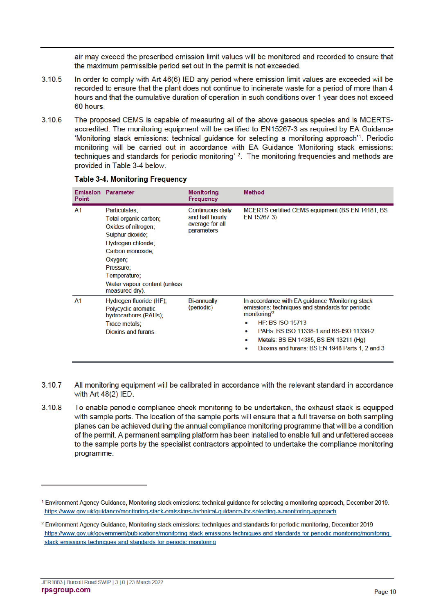air may exceed the prescribed emission limit values will be monitored and recorded to ensure that the maximum permissible period set out in the permit is not exceeded.

- 3.10.5 In order to comply with Art 46(6) IED any period where emission limit values are exceeded will be recorded to ensure that the plant does not continue to incinerate waste for a period of more than 4 hours and that the cumulative duration of operation in such conditions over 1 year does not exceed 60 hours.
- $3,106$ The proposed CEMS is capable of measuring all of the above gaseous species and is MCERTSaccredited. The monitoring equipment will be certified to EN15267-3 as required by EA Guidance 'Monitoring stack emissions: technical guidance for selecting a monitoring approach'1. Periodic monitoring will be carried out in accordance with EA Guidance 'Monitoring stack emissions: techniques and standards for periodic monitoring' <sup>2</sup>. The monitoring frequencies and methods are provided in Table 3-4 below.

| <b>Point</b>   | <b>Emission Parameter</b>                                                                                                                                                                                             | <b>Monitoring</b><br><b>Frequency</b>                                | <b>Method</b>                                                                                                                                                                                                                                                                                                                             |
|----------------|-----------------------------------------------------------------------------------------------------------------------------------------------------------------------------------------------------------------------|----------------------------------------------------------------------|-------------------------------------------------------------------------------------------------------------------------------------------------------------------------------------------------------------------------------------------------------------------------------------------------------------------------------------------|
| A1             | Particulates;<br>Total organic carbon:<br>Oxides of nitrogen;<br>Sulphur dioxide;<br>Hydrogen chloride;<br>Carbon monoxide;<br>Oxygen;<br>Pressure;<br>Temperature:<br>Water vapour content (unless<br>measured dry). | Continuous daily<br>and half hourly<br>average for all<br>parameters | MCERTS certified CEMS equipment (BS EN 14181, BS<br>EN 15267-3)                                                                                                                                                                                                                                                                           |
| A <sub>1</sub> | Hydrogen fluoride (HF);<br>Polycyclic aromatic<br>hydrocarbons (PAHs);<br>Trace metals;<br><b>Dioxins and furans.</b>                                                                                                 | <b>Bi-annually</b><br>(periodic)                                     | In accordance with EA guidance 'Monitoring stack<br>emissions: techniques and standards for periodic<br>monitoring <sup>'2</sup><br>$HF+ BS ISO 15713$<br>$\bullet$<br>PAHs: BS ISO 11338-1 and BS-ISO 11338-2<br>۰<br>Metals: BS EN 14385, BS EN 13211 (Hg)<br>$\bullet$<br>Dioxins and furans: BS EN 1948 Parts 1, 2 and 3<br>$\bullet$ |

#### **Table 3-4. Monitoring Frequency**

- 3.10.7 All monitoring equipment will be calibrated in accordance with the relevant standard in accordance with Art 48(2) IED.
- 3.10.8 To enable periodic compliance check monitoring to be undertaken, the exhaust stack is equipped with sample ports. The location of the sample ports will ensure that a full traverse on both sampling planes can be achieved during the annual compliance monitoring programme that will be a condition of the permit. A permanent sampling platform has been installed to enable full and unfettered access to the sample ports by the specialist contractors appointed to undertake the compliance monitoring programme.

<sup>&</sup>lt;sup>1</sup> Environment Agency Guidance, Monitoring stack emissions: technical guidance for selecting a monitoring approach, December 2019, https://www.gov.uk/quidance/monitoring-stack-emissions-technical-quidance-for-selecting-a-monitoring-approach

<sup>&</sup>lt;sup>2</sup> Environment Agency Guidance, Monitoring stack emissions: techniques and standards for periodic monitoring, December 2019 https://www.gov.uk/government/publications/monitoring-stack-emissions-techniques-and-standards-for-periodic-monitoring/monitoringstack-emissions-techniques-and-standards-for-periodic-monitoring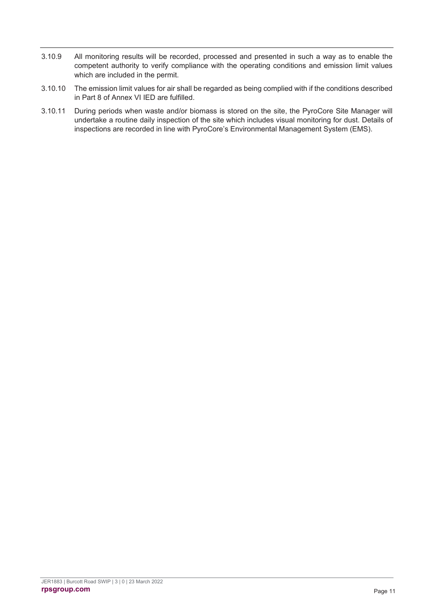- 3.10.9 All monitoring results will be recorded, processed and presented in such a way as to enable the competent authority to verify compliance with the operating conditions and emission limit values which are included in the permit.
- 3.10.10 The emission limit values for air shall be regarded as being complied with if the conditions described in Part 8 of Annex VI IED are fulfilled.
- 3.10.11 During periods when waste and/or biomass is stored on the site, the PyroCore Site Manager will undertake a routine daily inspection of the site which includes visual monitoring for dust. Details of inspections are recorded in line with PyroCore's Environmental Management System (EMS).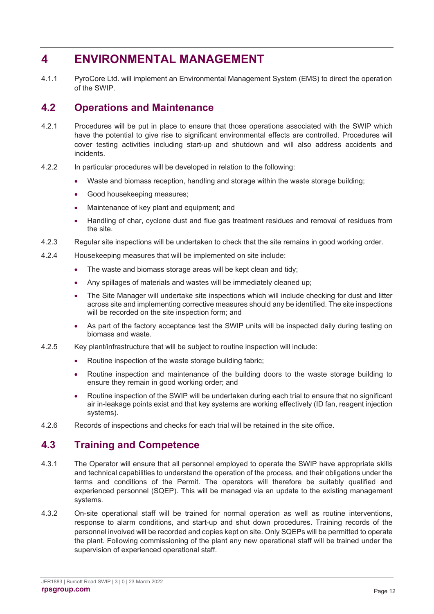### **4 ENVIRONMENTAL MANAGEMENT**

4.1.1 PyroCore Ltd. will implement an Environmental Management System (EMS) to direct the operation of the SWIP.

### **4.2 Operations and Maintenance**

- 4.2.1 Procedures will be put in place to ensure that those operations associated with the SWIP which have the potential to give rise to significant environmental effects are controlled. Procedures will cover testing activities including start-up and shutdown and will also address accidents and incidents.
- 4.2.2 In particular procedures will be developed in relation to the following:
	- Waste and biomass reception, handling and storage within the waste storage building;
	- Good housekeeping measures;
	- Maintenance of key plant and equipment; and
	- Handling of char, cyclone dust and flue gas treatment residues and removal of residues from the site.
- 4.2.3 Regular site inspections will be undertaken to check that the site remains in good working order.
- 4.2.4 Housekeeping measures that will be implemented on site include:
	- The waste and biomass storage areas will be kept clean and tidy;
	- Any spillages of materials and wastes will be immediately cleaned up;
	- The Site Manager will undertake site inspections which will include checking for dust and litter across site and implementing corrective measures should any be identified. The site inspections will be recorded on the site inspection form; and
	- As part of the factory acceptance test the SWIP units will be inspected daily during testing on biomass and waste.
- 4.2.5 Key plant/infrastructure that will be subject to routine inspection will include:
	- Routine inspection of the waste storage building fabric;
	- Routine inspection and maintenance of the building doors to the waste storage building to ensure they remain in good working order; and
	- Routine inspection of the SWIP will be undertaken during each trial to ensure that no significant air in-leakage points exist and that key systems are working effectively (ID fan, reagent injection systems).
- 4.2.6 Records of inspections and checks for each trial will be retained in the site office.

### **4.3 Training and Competence**

- 4.3.1 The Operator will ensure that all personnel employed to operate the SWIP have appropriate skills and technical capabilities to understand the operation of the process, and their obligations under the terms and conditions of the Permit. The operators will therefore be suitably qualified and experienced personnel (SQEP). This will be managed via an update to the existing management systems.
- 4.3.2 On-site operational staff will be trained for normal operation as well as routine interventions, response to alarm conditions, and start-up and shut down procedures. Training records of the personnel involved will be recorded and copies kept on site. Only SQEPs will be permitted to operate the plant. Following commissioning of the plant any new operational staff will be trained under the supervision of experienced operational staff.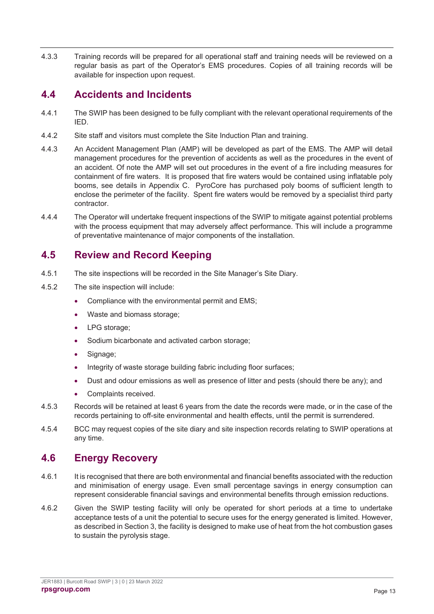4.3.3 Training records will be prepared for all operational staff and training needs will be reviewed on a regular basis as part of the Operator's EMS procedures. Copies of all training records will be available for inspection upon request.

### **4.4 Accidents and Incidents**

- 4.4.1 The SWIP has been designed to be fully compliant with the relevant operational requirements of the IED.
- 4.4.2 Site staff and visitors must complete the Site Induction Plan and training.
- 4.4.3 An Accident Management Plan (AMP) will be developed as part of the EMS. The AMP will detail management procedures for the prevention of accidents as well as the procedures in the event of an accident. Of note the AMP will set out procedures in the event of a fire including measures for containment of fire waters. It is proposed that fire waters would be contained using inflatable poly booms, see details in Appendix C. PyroCore has purchased poly booms of sufficient length to enclose the perimeter of the facility. Spent fire waters would be removed by a specialist third party contractor.
- 4.4.4 The Operator will undertake frequent inspections of the SWIP to mitigate against potential problems with the process equipment that may adversely affect performance. This will include a programme of preventative maintenance of major components of the installation.

### **4.5 Review and Record Keeping**

- 4.5.1 The site inspections will be recorded in the Site Manager's Site Diary.
- 4.5.2 The site inspection will include:
	- Compliance with the environmental permit and EMS:
	- Waste and biomass storage;
	- LPG storage;
	- Sodium bicarbonate and activated carbon storage;
	- Signage:
	- Integrity of waste storage building fabric including floor surfaces;
	- Dust and odour emissions as well as presence of litter and pests (should there be any); and
	- Complaints received.
- 4.5.3 Records will be retained at least 6 years from the date the records were made, or in the case of the records pertaining to off-site environmental and health effects, until the permit is surrendered.
- 4.5.4 BCC may request copies of the site diary and site inspection records relating to SWIP operations at any time.

### **4.6 Energy Recovery**

- 4.6.1 It is recognised that there are both environmental and financial benefits associated with the reduction and minimisation of energy usage. Even small percentage savings in energy consumption can represent considerable financial savings and environmental benefits through emission reductions.
- 4.6.2 Given the SWIP testing facility will only be operated for short periods at a time to undertake acceptance tests of a unit the potential to secure uses for the energy generated is limited. However, as described in Section 3, the facility is designed to make use of heat from the hot combustion gases to sustain the pyrolysis stage.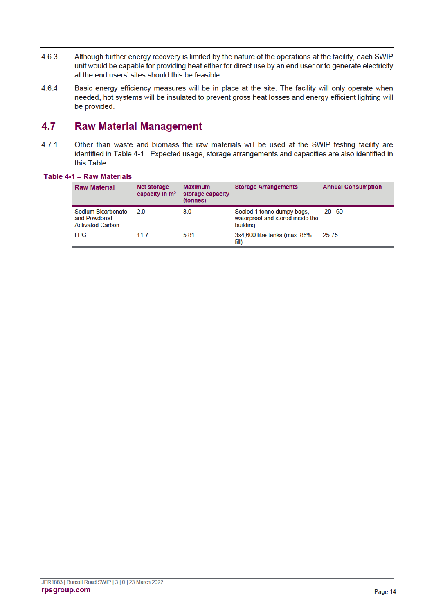- $4.6.3$ Although further energy recovery is limited by the nature of the operations at the facility, each SWIP unit would be capable for providing heat either for direct use by an end user or to generate electricity at the end users' sites should this be feasible.
- 4.6.4 Basic energy efficiency measures will be in place at the site. The facility will only operate when needed, hot systems will be insulated to prevent gross heat losses and energy efficient lighting will be provided.

#### 4.7 **Raw Material Management**

 $4.7.1$ Other than waste and biomass the raw materials will be used at the SWIP testing facility are identified in Table 4-1. Expected usage, storage arrangements and capacities are also identified in this Table.

### Table 4-1 - Raw Materials

| <b>Raw Material</b>                                           | Net storage<br>capacity in $m3$ | <b>Maximum</b><br>storage capacity<br>(tonnes) | <b>Storage Arrangements</b>                                                | <b>Annual Consumption</b> |
|---------------------------------------------------------------|---------------------------------|------------------------------------------------|----------------------------------------------------------------------------|---------------------------|
| Sodium Bicarbonate<br>and Powdered<br><b>Activated Carbon</b> | 20                              | 8.0                                            | Sealed 1 tonne dumpy bags,<br>waterproof and stored inside the<br>building | $20 - 60$                 |
| <b>LPG</b>                                                    | 11.7                            | 5.81                                           | 3x4,600 litre tanks (max. 85%)<br>fill)                                    | 25-75                     |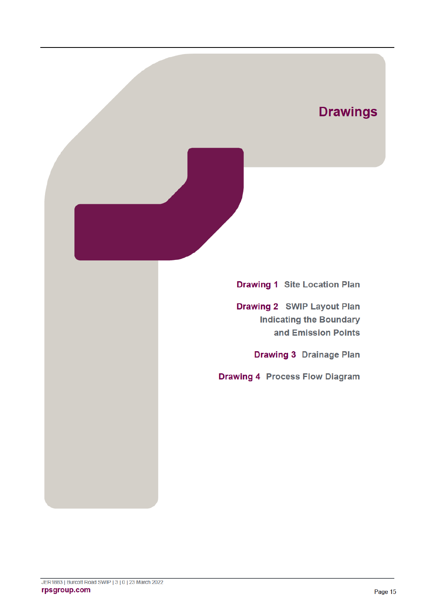# **Drawings**

**Drawing 1 Site Location Plan** 

**Drawing 2 SWIP Layout Plan Indicating the Boundary** and Emission Points

**Drawing 3 Drainage Plan** 

**Drawing 4 Process Flow Diagram**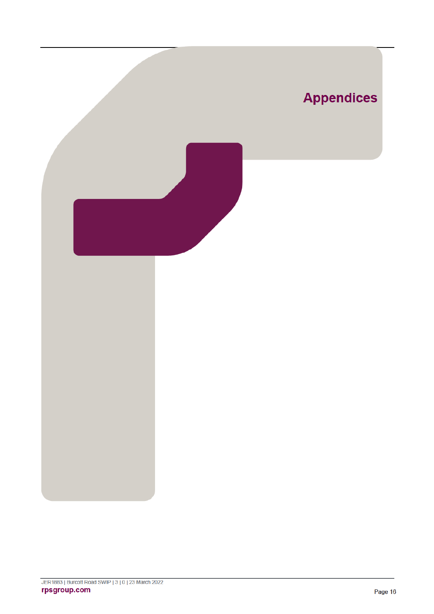

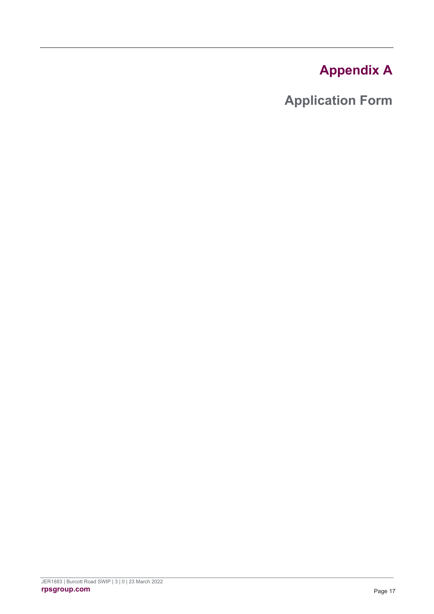# **Appendix A**

**Application Form**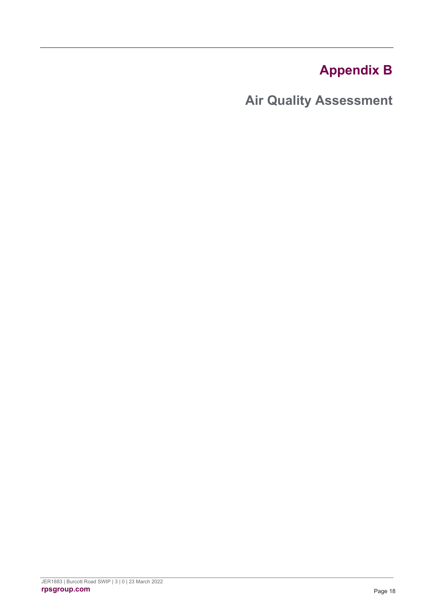# **Appendix B**

**Air Quality Assessment**